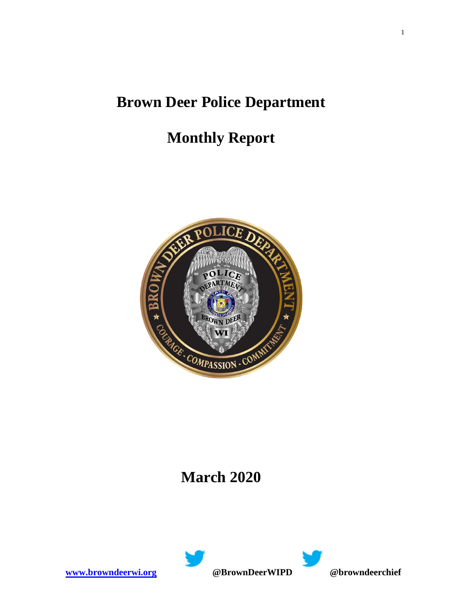## **Brown Deer Police Department**

# **Monthly Report**



## **March 2020**



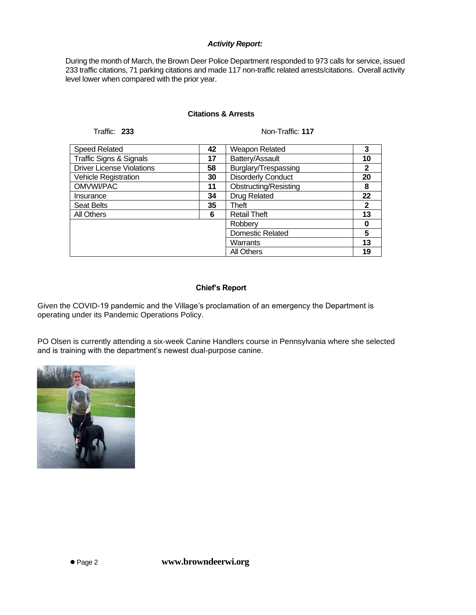#### *Activity Report:*

During the month of March, the Brown Deer Police Department responded to 973 calls for service, issued 233 traffic citations, 71 parking citations and made 117 non-traffic related arrests/citations. Overall activity level lower when compared with the prior year.

#### **Citations & Arrests**

Traffic: **233** Non-Traffic: **117**

| <b>Speed Related</b>               | 42 | Weapon Related            | 3           |
|------------------------------------|----|---------------------------|-------------|
| <b>Traffic Signs &amp; Signals</b> | 17 | Battery/Assault           | 10          |
| <b>Driver License Violations</b>   | 58 | Burglary/Trespassing      | 2           |
| <b>Vehicle Registration</b>        | 30 | <b>Disorderly Conduct</b> | 20          |
| OMVWI/PAC                          | 11 | Obstructing/Resisting     | 8           |
| Insurance                          | 34 | <b>Drug Related</b>       | 22          |
| <b>Seat Belts</b>                  | 35 | Theft                     | $\mathbf 2$ |
| All Others                         | 6  | <b>Retail Theft</b>       | 13          |
|                                    |    | Robberv                   | 0           |
|                                    |    | <b>Domestic Related</b>   | 5           |
|                                    |    | Warrants                  | 13          |
|                                    |    | <b>All Others</b>         | 19          |

#### **Chief's Report**

Given the COVID-19 pandemic and the Village's proclamation of an emergency the Department is operating under its Pandemic Operations Policy.

PO Olsen is currently attending a six-week Canine Handlers course in Pennsylvania where she selected and is training with the department's newest dual-purpose canine.

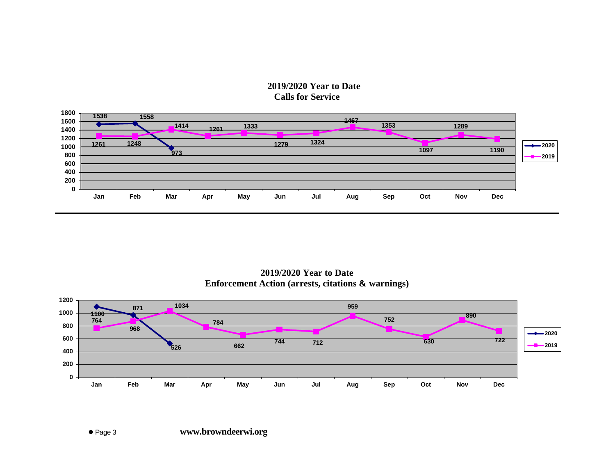### **2019/2020 Year to Date Calls for Service**



**2019/2020 Year to Date Enforcement Action (arrests, citations & warnings)**

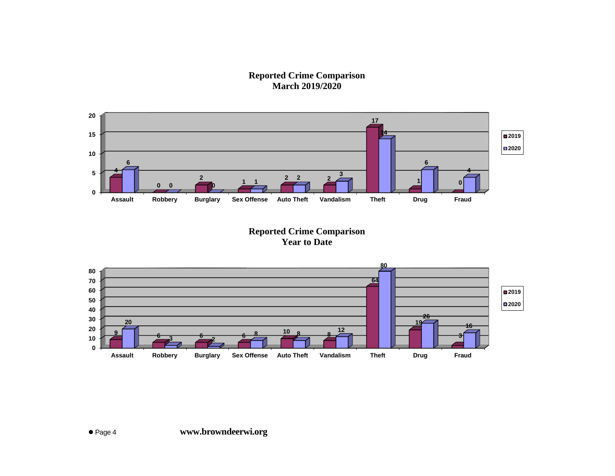**Reported Crime Comparison March 2019/2020**



**Reported Crime Comparison Year to Date**

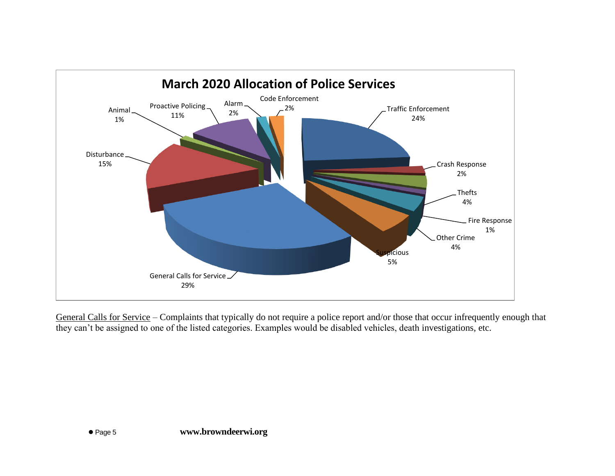

General Calls for Service – Complaints that typically do not require a police report and/or those that occur infrequently enough that they can't be assigned to one of the listed categories. Examples would be disabled vehicles, death investigations, etc.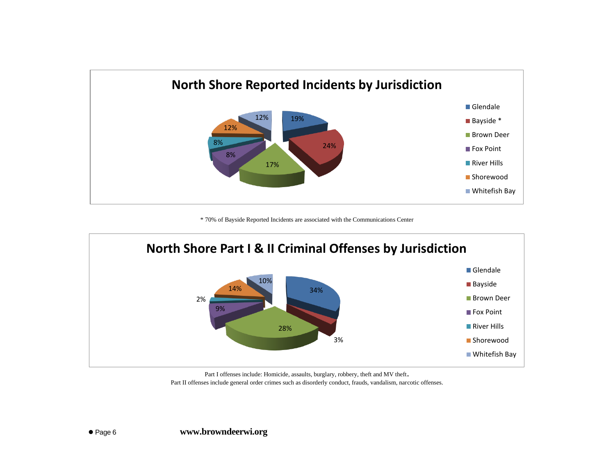

\* 70% of Bayside Reported Incidents are associated with the Communications Center



Part I offenses include: Homicide, assaults, burglary, robbery, theft and MV theft. Part II offenses include general order crimes such as disorderly conduct, frauds, vandalism, narcotic offenses.